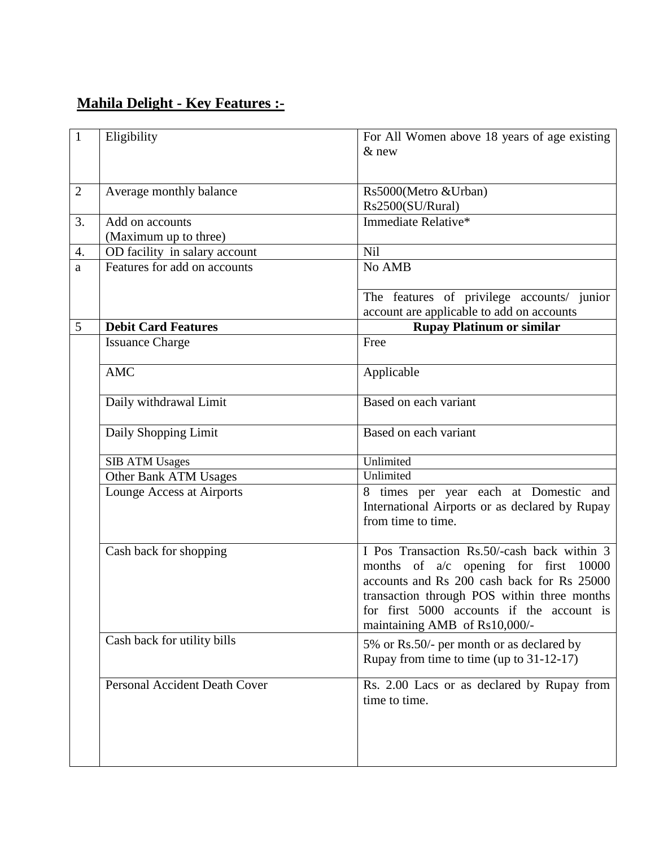## **Mahila Delight - Key Features :-**

| $\mathbf{1}$   | Eligibility                          | For All Women above 18 years of age existing                                            |
|----------------|--------------------------------------|-----------------------------------------------------------------------------------------|
|                |                                      | $&$ new                                                                                 |
|                |                                      |                                                                                         |
|                |                                      |                                                                                         |
| $\overline{2}$ | Average monthly balance              | Rs5000(Metro &Urban)                                                                    |
|                |                                      | Rs2500(SU/Rural)                                                                        |
| 3.             | Add on accounts                      | Immediate Relative*                                                                     |
|                | (Maximum up to three)                |                                                                                         |
| 4.             | OD facility in salary account        | <b>Nil</b>                                                                              |
| a              | Features for add on accounts         | No AMB                                                                                  |
|                |                                      |                                                                                         |
|                |                                      | The features of privilege accounts/ junior<br>account are applicable to add on accounts |
| 5              | <b>Debit Card Features</b>           | <b>Rupay Platinum or similar</b>                                                        |
|                | <b>Issuance Charge</b>               | Free                                                                                    |
|                |                                      |                                                                                         |
|                | <b>AMC</b>                           | Applicable                                                                              |
|                |                                      |                                                                                         |
|                | Daily withdrawal Limit               | Based on each variant                                                                   |
|                |                                      |                                                                                         |
|                | Daily Shopping Limit                 | Based on each variant                                                                   |
|                |                                      |                                                                                         |
|                | <b>SIB ATM Usages</b>                | Unlimited                                                                               |
|                | Other Bank ATM Usages                | Unlimited                                                                               |
|                | Lounge Access at Airports            | 8 times per year each at Domestic and                                                   |
|                |                                      | International Airports or as declared by Rupay                                          |
|                |                                      | from time to time.                                                                      |
|                |                                      |                                                                                         |
|                | Cash back for shopping               | I Pos Transaction Rs.50/-cash back within 3                                             |
|                |                                      | months of $a/c$ opening for first 10000                                                 |
|                |                                      | accounts and Rs 200 cash back for Rs 25000                                              |
|                |                                      | transaction through POS within three months                                             |
|                |                                      | for first 5000 accounts if the account is                                               |
|                |                                      | maintaining AMB of Rs10,000/-                                                           |
|                | Cash back for utility bills          | 5% or Rs.50/- per month or as declared by                                               |
|                |                                      | Rupay from time to time (up to 31-12-17)                                                |
|                | <b>Personal Accident Death Cover</b> | Rs. 2.00 Lacs or as declared by Rupay from                                              |
|                |                                      | time to time.                                                                           |
|                |                                      |                                                                                         |
|                |                                      |                                                                                         |
|                |                                      |                                                                                         |
|                |                                      |                                                                                         |